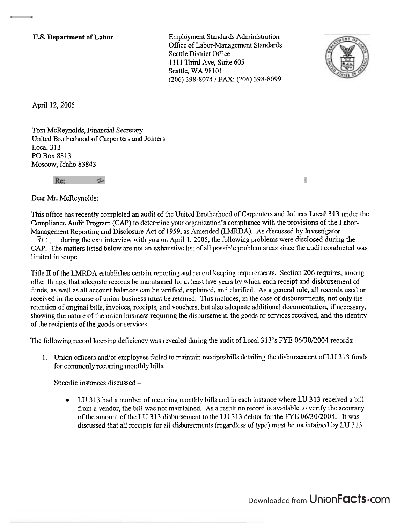**U.S. Department of Labor Employment Standards Administration** Office of Labor-Management Standards Seattle District Office 1111 Third Ave, Suite 605 Seattle, WA 98101 (206) 398-8074 / FAX: (206) 398-8099



 $\overline{\mathbb{R}}$ 

April 12, 2005

Tom McReynolds, Financial Secretary United Brotherhood of Carpenters and Joiners Local **3** 13 PO Box 8313 Moscow, Idaho 83843

Re:

Dear Mr. McReynolds:

This office has recently completed an audit of the United Brotherhood of Carpenters and Joiners Local 313 under the Compliance Audit Program (CAP) to determine your organization's compliance with the provisions of the Labor-Management Reporting and Disclosure Act of 1959, as Amended (LMRDA). As discussed by Investigator  $\mathcal{F}(\mathcal{L})$  during the exit interview with you on April 1, 2005, the following problems were disclosed during the CAP. The matters listed below are not an exhaustive list of all possible problem areas since the audit conducted was limited in scope.

Title **II** of the LMRDA establishes certain reporting and record keeping requirements. Section 206 requires, among other things, that adequate records be maintained for at least five years by which each receipt and disbursement of funds, as well as all account balances can be verified, explained, and clarified. As a general rule, all records used or received in the course of union business must be retained. This includes, in the case of disbursements, not only the retention of original bills, invoices, receipts, and vouchers, but also adequate additional documentation, if necessary, showing the nature of the union business requiring the disbursement, the goods or services received, and the identity of the recipients of the goods or services.

The following record keeping deficiency was revealed during the audit of Local 3 13's FYE 06/30/2004 records:

1. Union officers and/or employees failed to maintain receipts/bills detailing the disbursement of LU 313 funds for commonly recurring monthly bills.

Specific instances discussed -

LU 3 13 had a number of recurring monthly bills and in each instance where LU 3 13 received a bill from a vendor, the bill was not maintained. As a result no record is available to verify the accuracy of the amount of the LU 3 13 disbursement to the LU 3 13 debtor for the FYE 06/30/2004. It was discussed that all receipts for all disbursements (regardless of type) must be maintained by LU **3** 13.

Downloaded from UnionFacts.com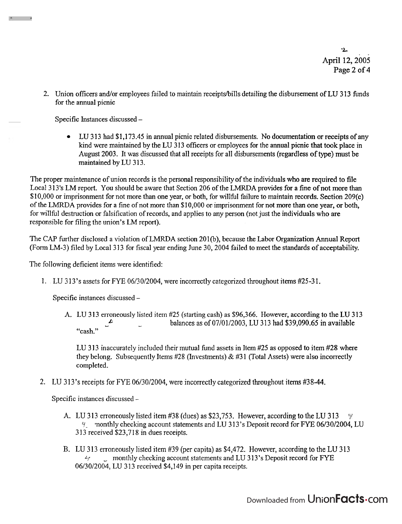**-L April** 12,2005 Page 2 of **4** 

2. Union officers and/or employees failed to maintain receipts/bills detailing the disbursement of LU 313 funds for the annual picnic

Specific Instances discussed -

**SAT 100 100 100** 

 $\bullet$ LU 313 had \$1,173.45 in annual picnic related disbursements. No documentation or receipts of any kind were maintained by the LU 3 13 officers or employees for the annual picnic that took place in August 2003. It was discussed that all receipts for all disbursements (regardless of type) must be maintained by LU 313.

The proper maintenance of union records is the personal responsibility of the individuals who are required to file Local 3 13's LM report. You should be aware that Section 206 of the LMRDA provides for a fine of not more than \$10,000 or imprisonment for not more than one year, or both, for willful failure to maintain records. Section 209(c) of the LMRDA provides for a fine of not more than \$1 0,000 or.imprisonment for not more than one year, or both, for willful destruction or falsification of records, and applies to any person (not just the individuals who are responsible for filing the union's LM report).

The CAP hrther disclosed a violation of LMRDA section 201(b), because the Labor Organization Annual Report (Form LM-3) filed by Local 313 for fiscal year ending June 30, 2004 failed to meet the standards of acceptability.

The following deficient items were identified:

1. LU 3 13's assets for FYE 06/30/2004, were incorrectly categorized throughout items #25-3 1.

Specific instances discussed -

A. LU 3 13 erroneously listed item #25 (starting cash) as \$96,366. However, according to the LU 3 13  $\mathbf{r}$ balances as of 07/01/2003, LU 313 had \$39,090.65 in available "cash."

LU 313 inaccurately included their mutual fund assets in Item #25 as opposed to item #28 where they belong. Subsequently Items  $#28$  (Investments) &  $#31$  (Total Assets) were also incorrectly completed.

2. LU 313's receipts for FYE 06/30/2004, were incorrectly categorized throughout items #38-44.

Specific instances discussed -

- A. LU 313 erroneously listed item #38 (dues) as \$23,753. However, according to the LU 313  $\pm$ ~i monthly checking account statements and LU 3 13's Deposit record for FYE 06/30/2004, LU 313 received \$23,718 in dues receipts.
- B. LU 313 erroneously listed item #39 (per capita) as \$4,472. However, according to the LU 313 **L:** monthly checking account statements and LU 313's Deposit record for FYE 06/30/2004, LU 313 received \$4,149 in per capita receipts.

Downloaded from Union**Facts** Com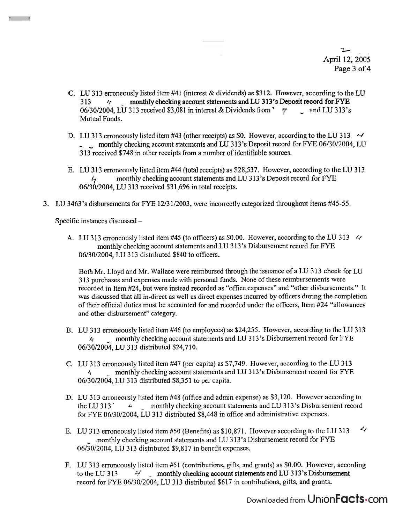- **b April** 12,2005 Page **3** of **4** 

- C. LU 313 erroneously listed item  $#41$  (interest & dividends) as \$312. However, according to the LU 4 monthly checking account statements and LU 313's Deposit record for FYE 06/30/2004, LU 313 received \$3,081 in interest & Dividends from '  $\frac{1}{7}$  and LU 313's Mutual Funds.
- D. LU 313 erroneously listed item #43 (other receipts) as \$0. However, according to the LU 313  $\rightarrow$ - monthly checking account statements and LU 313's Deposit record for FYE 06/30/2004, LU 3 13 received \$748 in other receipts from a number of identifiable sources.
- E. LU 313 erroneously listed item #44 (total receipts) as \$28,537. However, according to the LU 3 13 monthly checking account statements and LU 313's Deposit record for FYE 06/30/2004, LU 313 received \$31,696 in total receipts.
- 3. LU 3463's disbursements for FYE 1213 112003, were incorrectly categorized throughout items #45-55.

Specific instances discussed -

**References** States

A. LU 313 erroneously listed item #45 (to officers) as \$0.00. However, according to the LU 313  $\leq$ monthly checking account statements and LU 3 13's Disbursement record for FYE 0613012004, LU 3 13 distributed \$840 to officers.

Both Mr. Lloyd and Mr. Wallace were reimbursed through the issuance of **a** LU 3 13 check for LU **3** 13 purchases and expenses made with personal funds. None of these reimbursements were recorded in Item #24, but were instead recorded as "office expenses" and "other disbursements." It was discussed that all in-direct as well as direct expenses incurred by officers during the completion of their official duties must be accounted for and recorded under the officers, Item #24 "allowances and other disbursement" category.

- B. LU 3 13 erroneously listed item #46 (to employees) as \$24,255. However, according to the LU 3 13  $4 - 2$  monthly checking account statements and LU 313's Disbursement record for FYE 06/30/2004, LU 313 distributed \$24,710.
- C. LU 3 13 erroneously listed item #47 (per capita) as \$7,749. However, according to the LU 3 13 monthly checking account statements and LU 313's Disbursement record for FYE 06/30/2004, LU 313 distributed \$8,351 to per capita.
- D. LU 313 erroneously listed item #48 (office and admin expense) as \$3,120. However according to the LU 313  $\rightarrow$  monthly checking account statements and LU 313's Disbursement record for FYE 06/30/2004, LU 3 13 distributed \$8,448 in office and administrative expenses.
- E. LU 313 erroneously listed item #50 (Benefits) as \$10,871. However according to the LU 313  $\leq$ nonthly checking account statements and LU 3 13's Disbursement record for FYE 06/30/2004, LU 313 distributed \$9,817 in benefit expenses,
- F. LU 3 13 erroneously listed item #51 (contributions, gifts, and grants) as \$0.00. However, according to the LU 313  $\frac{4}{7}$  monthly checking account statements and LU 313's Disbursement record for FYE 06/30/2004, LU 313 distributed \$617 in contributions, gifts, and grants.